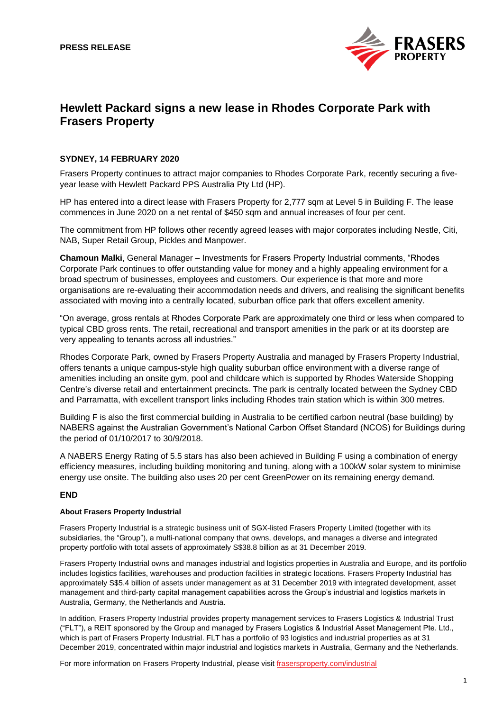

# **Hewlett Packard signs a new lease in Rhodes Corporate Park with Frasers Property**

## **SYDNEY, 14 FEBRUARY 2020**

Frasers Property continues to attract major companies to Rhodes Corporate Park, recently securing a fiveyear lease with Hewlett Packard PPS Australia Pty Ltd (HP).

HP has entered into a direct lease with Frasers Property for 2.777 sqm at Level 5 in Building F. The lease commences in June 2020 on a net rental of \$450 sqm and annual increases of four per cent.

The commitment from HP follows other recently agreed leases with major corporates including Nestle, Citi, NAB, Super Retail Group, Pickles and Manpower.

**Chamoun Malki**, General Manager – Investments for Frasers Property Industrial comments, "Rhodes Corporate Park continues to offer outstanding value for money and a highly appealing environment for a broad spectrum of businesses, employees and customers. Our experience is that more and more organisations are re-evaluating their accommodation needs and drivers, and realising the significant benefits associated with moving into a centrally located, suburban office park that offers excellent amenity.

"On average, gross rentals at Rhodes Corporate Park are approximately one third or less when compared to typical CBD gross rents. The retail, recreational and transport amenities in the park or at its doorstep are very appealing to tenants across all industries."

Rhodes Corporate Park, owned by Frasers Property Australia and managed by Frasers Property Industrial, offers tenants a unique campus-style high quality suburban office environment with a diverse range of amenities including an onsite gym, pool and childcare which is supported by Rhodes Waterside Shopping Centre's diverse retail and entertainment precincts. The park is centrally located between the Sydney CBD and Parramatta, with excellent transport links including Rhodes train station which is within 300 metres.

Building F is also the first commercial building in Australia to be certified carbon neutral (base building) by NABERS against the Australian Government's National Carbon Offset Standard (NCOS) for Buildings during the period of 01/10/2017 to 30/9/2018.

A NABERS Energy Rating of 5.5 stars has also been achieved in Building F using a combination of energy efficiency measures, including building monitoring and tuning, along with a 100kW solar system to minimise energy use onsite. The building also uses 20 per cent GreenPower on its remaining energy demand.

## **END**

## **About Frasers Property Industrial**

Frasers Property Industrial is a strategic business unit of SGX-listed Frasers Property Limited (together with its subsidiaries, the "Group"), a multi-national company that owns, develops, and manages a diverse and integrated property portfolio with total assets of approximately S\$38.8 billion as at 31 December 2019.

Frasers Property Industrial owns and manages industrial and logistics properties in Australia and Europe, and its portfolio includes logistics facilities, warehouses and production facilities in strategic locations. Frasers Property Industrial has approximately S\$5.4 billion of assets under management as at 31 December 2019 with integrated development, asset management and third-party capital management capabilities across the Group's industrial and logistics markets in Australia, Germany, the Netherlands and Austria.

In addition, Frasers Property Industrial provides property management services to Frasers Logistics & Industrial Trust ("FLT"), a REIT sponsored by the Group and managed by Frasers Logistics & Industrial Asset Management Pte. Ltd., which is part of Frasers Property Industrial. FLT has a portfolio of 93 logistics and industrial properties as at 31 December 2019, concentrated within major industrial and logistics markets in Australia, Germany and the Netherlands.

For more information on Frasers Property Industrial, please visi[t frasersproperty.com/industrial](https://www.frasersproperty.com/industrial)